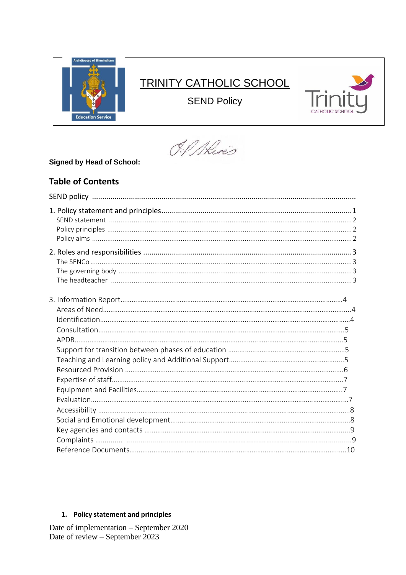

# **TRINITY CATHOLIC SCHOOL**

**SEND Policy** 



O.P. Alires

# **Signed by Head of School:**

# **Table of Contents**

# 1. Policy statement and principles

Date of implementation – September 2020<br>Date of review – September 2023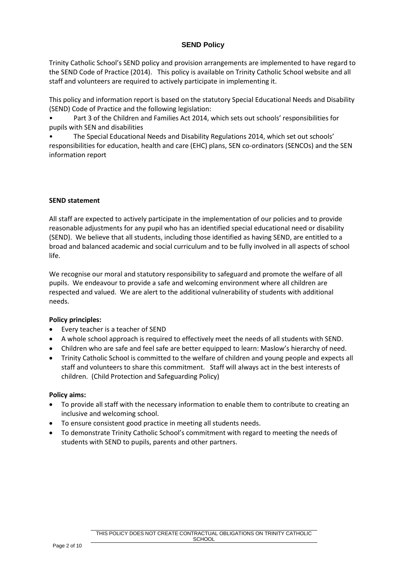Trinity Catholic School's SEND policy and provision arrangements are implemented to have regard to the SEND Code of Practice (2014). This policy is available on Trinity Catholic School website and all staff and volunteers are required to actively participate in implementing it.

This policy and information report is based on the statutory Special Educational Needs and Disability (SEND) Code of Practice and the following legislation:

• Part 3 of the Children and Families Act 2014, which sets out schools' responsibilities for pupils with SEN and disabilities

• The Special Educational Needs and Disability Regulations 2014, which set out schools' responsibilities for education, health and care (EHC) plans, SEN co-ordinators (SENCOs) and the SEN information report

#### **SEND statement**

All staff are expected to actively participate in the implementation of our policies and to provide reasonable adjustments for any pupil who has an identified special educational need or disability (SEND). We believe that all students, including those identified as having SEND, are entitled to a broad and balanced academic and social curriculum and to be fully involved in all aspects of school life.

We recognise our moral and statutory responsibility to safeguard and promote the welfare of all pupils. We endeavour to provide a safe and welcoming environment where all children are respected and valued. We are alert to the additional vulnerability of students with additional needs.

#### **Policy principles:**

- Every teacher is a teacher of SEND
- A whole school approach is required to effectively meet the needs of all students with SEND.
- Children who are safe and feel safe are better equipped to learn: Maslow's hierarchy of need.
- Trinity Catholic School is committed to the welfare of children and young people and expects all staff and volunteers to share this commitment. Staff will always act in the best interests of children. (Child Protection and Safeguarding Policy)

#### **Policy aims:**

- To provide all staff with the necessary information to enable them to contribute to creating an inclusive and welcoming school.
- To ensure consistent good practice in meeting all students needs.
- To demonstrate Trinity Catholic School's commitment with regard to meeting the needs of students with SEND to pupils, parents and other partners.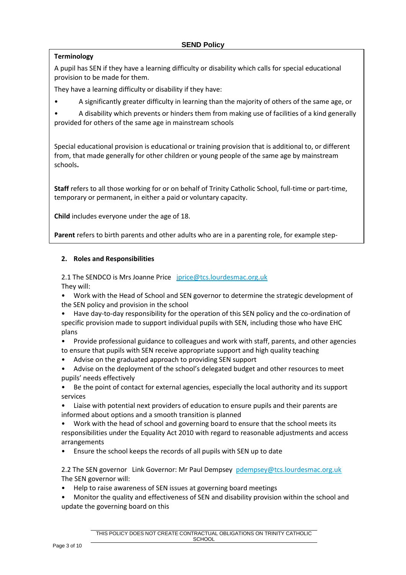# **Terminology**

A pupil has SEN if they have a learning difficulty or disability which calls for special educational provision to be made for them.

They have a learning difficulty or disability if they have:

• A significantly greater difficulty in learning than the majority of others of the same age, or

• A disability which prevents or hinders them from making use of facilities of a kind generally provided for others of the same age in mainstream schools

Special educational provision is educational or training provision that is additional to, or different from, that made generally for other children or young people of the same age by mainstream schools**.**

**Staff** refers to all those working for or on behalf of Trinity Catholic School, full-time or part-time, temporary or permanent, in either a paid or voluntary capacity.

**Child** includes everyone under the age of 18.

parents, foster carers and adoptive parents.

**Parent** refers to birth parents and other adults who are in a parenting role, for example step-

#### **2. Roles and Responsibilities**

2.1 The SENDCO is Mrs Joanne Price [jprice@tcs.lourdesmac.org.uk](mailto:jprice@tcs.lourdesmac.org.uk) They will:

- Work with the Head of School and SEN governor to determine the strategic development of the SEN policy and provision in the school
- Have day-to-day responsibility for the operation of this SEN policy and the co-ordination of specific provision made to support individual pupils with SEN, including those who have EHC plans
- Provide professional guidance to colleagues and work with staff, parents, and other agencies to ensure that pupils with SEN receive appropriate support and high quality teaching
- Advise on the graduated approach to providing SEN support
- Advise on the deployment of the school's delegated budget and other resources to meet pupils' needs effectively
- Be the point of contact for external agencies, especially the local authority and its support services
- Liaise with potential next providers of education to ensure pupils and their parents are informed about options and a smooth transition is planned
- Work with the head of school and governing board to ensure that the school meets its responsibilities under the Equality Act 2010 with regard to reasonable adjustments and access arrangements
- Ensure the school keeps the records of all pupils with SEN up to date

2.2 The SEN governor Link Governor: Mr Paul Dempsey [pdempsey@tcs.lourdesmac.org.uk](mailto:pdempsey@tcs.lourdesmac.org.uk) The SEN governor will:

• Help to raise awareness of SEN issues at governing board meetings

• Monitor the quality and effectiveness of SEN and disability provision within the school and update the governing board on this

> THIS POLICY DOES NOT CREATE CONTRACTUAL OBLIGATIONS ON TRINITY CATHOLIC **SCHOOL**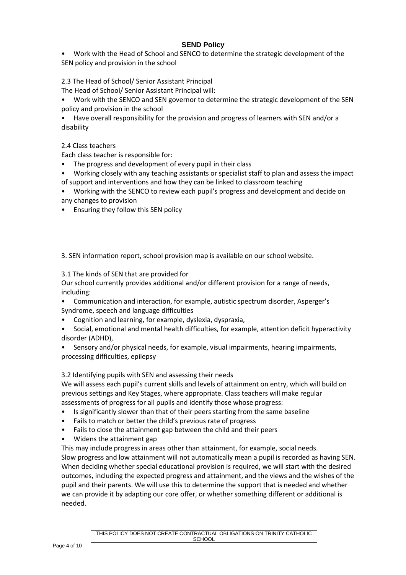• Work with the Head of School and SENCO to determine the strategic development of the SEN policy and provision in the school

# 2.3 The Head of School/ Senior Assistant Principal

The Head of School/ Senior Assistant Principal will:

• Work with the SENCO and SEN governor to determine the strategic development of the SEN policy and provision in the school

• Have overall responsibility for the provision and progress of learners with SEN and/or a disability

2.4 Class teachers

Each class teacher is responsible for:

- The progress and development of every pupil in their class
- Working closely with any teaching assistants or specialist staff to plan and assess the impact of support and interventions and how they can be linked to classroom teaching
- Working with the SENCO to review each pupil's progress and development and decide on any changes to provision
- Ensuring they follow this SEN policy

3. SEN information report, school provision map is available on our school website.

3.1 The kinds of SEN that are provided for

Our school currently provides additional and/or different provision for a range of needs, including:

- Communication and interaction, for example, autistic spectrum disorder, Asperger's Syndrome, speech and language difficulties
- Cognition and learning, for example, dyslexia, dyspraxia,
- Social, emotional and mental health difficulties, for example, attention deficit hyperactivity disorder (ADHD),
- Sensory and/or physical needs, for example, visual impairments, hearing impairments, processing difficulties, epilepsy

3.2 Identifying pupils with SEN and assessing their needs

We will assess each pupil's current skills and levels of attainment on entry, which will build on previous settings and Key Stages, where appropriate. Class teachers will make regular assessments of progress for all pupils and identify those whose progress:

- Is significantly slower than that of their peers starting from the same baseline
- Fails to match or better the child's previous rate of progress
- Fails to close the attainment gap between the child and their peers
- Widens the attainment gap

This may include progress in areas other than attainment, for example, social needs. Slow progress and low attainment will not automatically mean a pupil is recorded as having SEN. When deciding whether special educational provision is required, we will start with the desired outcomes, including the expected progress and attainment, and the views and the wishes of the pupil and their parents. We will use this to determine the support that is needed and whether we can provide it by adapting our core offer, or whether something different or additional is needed.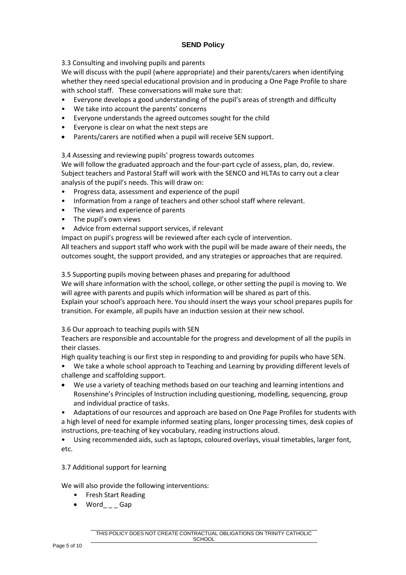3.3 Consulting and involving pupils and parents

We will discuss with the pupil (where appropriate) and their parents/carers when identifying whether they need special educational provision and in producing a One Page Profile to share with school staff. These conversations will make sure that:

- Everyone develops a good understanding of the pupil's areas of strength and difficulty
- We take into account the parents' concerns
- Everyone understands the agreed outcomes sought for the child
- Everyone is clear on what the next steps are
- Parents/carers are notified when a pupil will receive SEN support.

3.4 Assessing and reviewing pupils' progress towards outcomes

We will follow the graduated approach and the four-part cycle of assess, plan, do, review. Subject teachers and Pastoral Staff will work with the SENCO and HLTAs to carry out a clear analysis of the pupil's needs. This will draw on:

- Progress data, assessment and experience of the pupil
- Information from a range of teachers and other school staff where relevant.
- The views and experience of parents
- The pupil's own views
- Advice from external support services, if relevant

Impact on pupil's progress will be reviewed after each cycle of intervention.

All teachers and support staff who work with the pupil will be made aware of their needs, the outcomes sought, the support provided, and any strategies or approaches that are required.

3.5 Supporting pupils moving between phases and preparing for adulthood

We will share information with the school, college, or other setting the pupil is moving to. We will agree with parents and pupils which information will be shared as part of this.

Explain your school's approach here. You should insert the ways your school prepares pupils for transition. For example, all pupils have an induction session at their new school.

## 3.6 Our approach to teaching pupils with SEN

Teachers are responsible and accountable for the progress and development of all the pupils in their classes.

High quality teaching is our first step in responding to and providing for pupils who have SEN.

- We take a whole school approach to Teaching and Learning by providing different levels of challenge and scaffolding support.
- We use a variety of teaching methods based on our teaching and learning intentions and Rosenshine's Principles of Instruction including questioning, modelling, sequencing, group and individual practice of tasks.

• Adaptations of our resources and approach are based on One Page Profiles for students with a high level of need for example informed seating plans, longer processing times, desk copies of instructions, pre-teaching of key vocabulary, reading instructions aloud.

• Using recommended aids, such as laptops, coloured overlays, visual timetables, larger font, etc.

## 3.7 Additional support for learning

We will also provide the following interventions:

- Fresh Start Reading
- Word Gap

THIS POLICY DOES NOT CREATE CONTRACTUAL OBLIGATIONS ON TRINITY CATHOLIC **SCHOOL**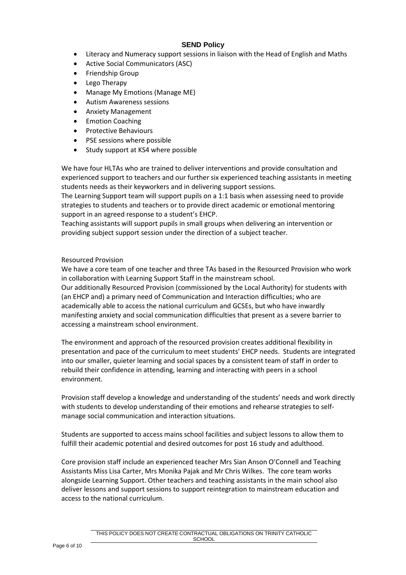- Literacy and Numeracy support sessions in liaison with the Head of English and Maths
- Active Social Communicators (ASC)
- Friendship Group
- Lego Therapy
- Manage My Emotions (Manage ME)
- Autism Awareness sessions
- Anxiety Management
- **Emotion Coaching**
- Protective Behaviours
- PSE sessions where possible
- Study support at KS4 where possible

We have four HLTAs who are trained to deliver interventions and provide consultation and experienced support to teachers and our further six experienced teaching assistants in meeting students needs as their keyworkers and in delivering support sessions.

The Learning Support team will support pupils on a 1:1 basis when assessing need to provide strategies to students and teachers or to provide direct academic or emotional mentoring support in an agreed response to a student's EHCP.

Teaching assistants will support pupils in small groups when delivering an intervention or providing subject support session under the direction of a subject teacher.

#### Resourced Provision

We have a core team of one teacher and three TAs based in the Resourced Provision who work in collaboration with Learning Support Staff in the mainstream school.

Our additionally Resourced Provision (commissioned by the Local Authority) for students with (an EHCP and) a primary need of Communication and Interaction difficulties; who are academically able to access the national curriculum and GCSEs, but who have inwardly manifesting anxiety and social communication difficulties that present as a severe barrier to accessing a mainstream school environment.

The environment and approach of the resourced provision creates additional flexibility in presentation and pace of the curriculum to meet students' EHCP needs. Students are integrated into our smaller, quieter learning and social spaces by a consistent team of staff in order to rebuild their confidence in attending, learning and interacting with peers in a school environment.

Provision staff develop a knowledge and understanding of the students' needs and work directly with students to develop understanding of their emotions and rehearse strategies to selfmanage social communication and interaction situations.

Students are supported to access mains school facilities and subject lessons to allow them to fulfill their academic potential and desired outcomes for post 16 study and adulthood.

Core provision staff include an experienced teacher Mrs Sian Anson O'Connell and Teaching Assistants Miss Lisa Carter, Mrs Monika Pajak and Mr Chris Wilkes. The core team works alongside Learning Support. Other teachers and teaching assistants in the main school also deliver lessons and support sessions to support reintegration to mainstream education and access to the national curriculum.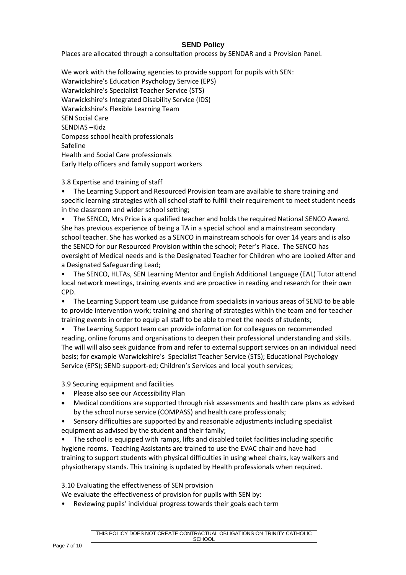Places are allocated through a consultation process by SENDAR and a Provision Panel.

We work with the following agencies to provide support for pupils with SEN: Warwickshire's Education Psychology Service (EPS) Warwickshire's Specialist Teacher Service (STS) Warwickshire's Integrated Disability Service (IDS) Warwickshire's Flexible Learning Team SEN Social Care SENDIAS –Kidz Compass school health professionals Safeline Health and Social Care professionals Early Help officers and family support workers

#### 3.8 Expertise and training of staff

• The Learning Support and Resourced Provision team are available to share training and specific learning strategies with all school staff to fulfill their requirement to meet student needs in the classroom and wider school setting;

• The SENCO, Mrs Price is a qualified teacher and holds the required National SENCO Award. She has previous experience of being a TA in a special school and a mainstream secondary school teacher. She has worked as a SENCO in mainstream schools for over 14 years and is also the SENCO for our Resourced Provision within the school; Peter's Place. The SENCO has oversight of Medical needs and is the Designated Teacher for Children who are Looked After and a Designated Safeguarding Lead;

• The SENCO, HLTAs, SEN Learning Mentor and English Additional Language (EAL) Tutor attend local network meetings, training events and are proactive in reading and research for their own CPD.

• The Learning Support team use guidance from specialists in various areas of SEND to be able to provide intervention work; training and sharing of strategies within the team and for teacher training events in order to equip all staff to be able to meet the needs of students;

• The Learning Support team can provide information for colleagues on recommended reading, online forums and organisations to deepen their professional understanding and skills. The will will also seek guidance from and refer to external support services on an individual need basis; for example Warwickshire's Specialist Teacher Service (STS); Educational Psychology Service (EPS); SEND support-ed; Children's Services and local youth services;

3.9 Securing equipment and facilities

- Please also see our Accessibility Plan
- Medical conditions are supported through risk assessments and health care plans as advised by the school nurse service (COMPASS) and health care professionals;
- Sensory difficulties are supported by and reasonable adjustments including specialist equipment as advised by the student and their family:

• The school is equipped with ramps, lifts and disabled toilet facilities including specific hygiene rooms. Teaching Assistants are trained to use the EVAC chair and have had training to support students with physical difficulties in using wheel chairs, kay walkers and physiotherapy stands. This training is updated by Health professionals when required.

3.10 Evaluating the effectiveness of SEN provision

We evaluate the effectiveness of provision for pupils with SEN by:

• Reviewing pupils' individual progress towards their goals each term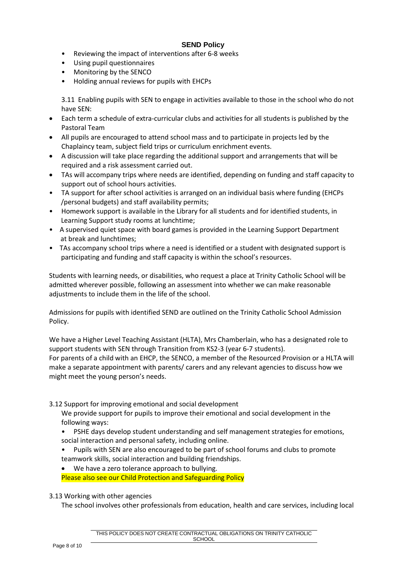- Reviewing the impact of interventions after 6-8 weeks
- Using pupil questionnaires
- Monitoring by the SENCO
- Holding annual reviews for pupils with EHCPs

3.11 Enabling pupils with SEN to engage in activities available to those in the school who do not have SEN:

- Each term a schedule of extra-curricular clubs and activities for all students is published by the Pastoral Team
- All pupils are encouraged to attend school mass and to participate in projects led by the Chaplaincy team, subject field trips or curriculum enrichment events.
- A discussion will take place regarding the additional support and arrangements that will be required and a risk assessment carried out.
- TAs will accompany trips where needs are identified, depending on funding and staff capacity to support out of school hours activities.
- TA support for after school activities is arranged on an individual basis where funding (EHCPs /personal budgets) and staff availability permits;
- Homework support is available in the Library for all students and for identified students, in Learning Support study rooms at lunchtime;
- A supervised quiet space with board games is provided in the Learning Support Department at break and lunchtimes;
- TAs accompany school trips where a need is identified or a student with designated support is participating and funding and staff capacity is within the school's resources.

Students with learning needs, or disabilities, who request a place at Trinity Catholic School will be admitted wherever possible, following an assessment into whether we can make reasonable adjustments to include them in the life of the school.

Admissions for pupils with identified SEND are outlined on the Trinity Catholic School Admission Policy.

We have a Higher Level Teaching Assistant (HLTA), Mrs Chamberlain, who has a designated role to support students with SEN through Transition from KS2-3 (year 6-7 students). For parents of a child with an EHCP, the SENCO, a member of the Resourced Provision or a HLTA will make a separate appointment with parents/ carers and any relevant agencies to discuss how we might meet the young person's needs.

3.12 Support for improving emotional and social development

We provide support for pupils to improve their emotional and social development in the following ways:

- PSHE days develop student understanding and self management strategies for emotions, social interaction and personal safety, including online.
- Pupils with SEN are also encouraged to be part of school forums and clubs to promote teamwork skills, social interaction and building friendships.
- We have a zero tolerance approach to bullying.

Please also see our Child Protection and Safeguarding Policy

#### 3.13 Working with other agencies

The school involves other professionals from education, health and care services, including local

THIS POLICY DOES NOT CREATE CONTRACTUAL OBLIGATIONS ON TRINITY CATHOLIC **SCHOOL**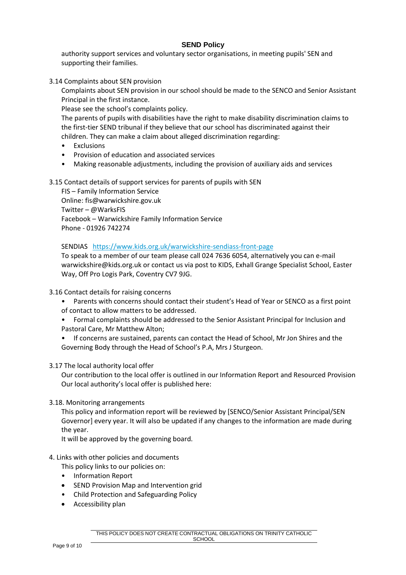authority support services and voluntary sector organisations, in meeting pupils' SEN and supporting their families.

3.14 Complaints about SEN provision

Complaints about SEN provision in our school should be made to the SENCO and Senior Assistant Principal in the first instance.

Please see the school's complaints policy.

The parents of pupils with disabilities have the right to make disability discrimination claims to the first-tier SEND tribunal if they believe that our school has discriminated against their children. They can make a claim about alleged discrimination regarding:

- **Exclusions**
- Provision of education and associated services
- Making reasonable adjustments, including the provision of auxiliary aids and services
- 3.15 Contact details of support services for parents of pupils with SEN

FIS – Family Information Service Online: fis@warwickshire.gov.uk Twitter – @WarksFIS Facebook – Warwickshire Family Information Service Phone - 01926 742274

SENDIAS <https://www.kids.org.uk/warwickshire-sendiass-front-page>

To speak to a member of our team please call 024 7636 6054, alternatively you can e-mail warwickshire@kids.org.uk or contact us via post to KIDS, Exhall Grange Specialist School, Easter Way, Off Pro Logis Park, Coventry CV7 9JG.

#### 3.16 Contact details for raising concerns

- Parents with concerns should contact their student's Head of Year or SENCO as a first point of contact to allow matters to be addressed.
- Formal complaints should be addressed to the Senior Assistant Principal for Inclusion and Pastoral Care, Mr Matthew Alton;
- If concerns are sustained, parents can contact the Head of School, Mr Jon Shires and the Governing Body through the Head of School's P.A, Mrs J Sturgeon.

#### 3.17 The local authority local offer

Our contribution to the local offer is outlined in our Information Report and Resourced Provision Our local authority's local offer is published here:

#### 3.18. Monitoring arrangements

This policy and information report will be reviewed by [SENCO/Senior Assistant Principal/SEN Governor] every year. It will also be updated if any changes to the information are made during the year.

It will be approved by the governing board.

- 4. Links with other policies and documents
	- This policy links to our policies on:
	- Information Report
	- SEND Provision Map and Intervention grid
	- Child Protection and Safeguarding Policy
	- Accessibility plan